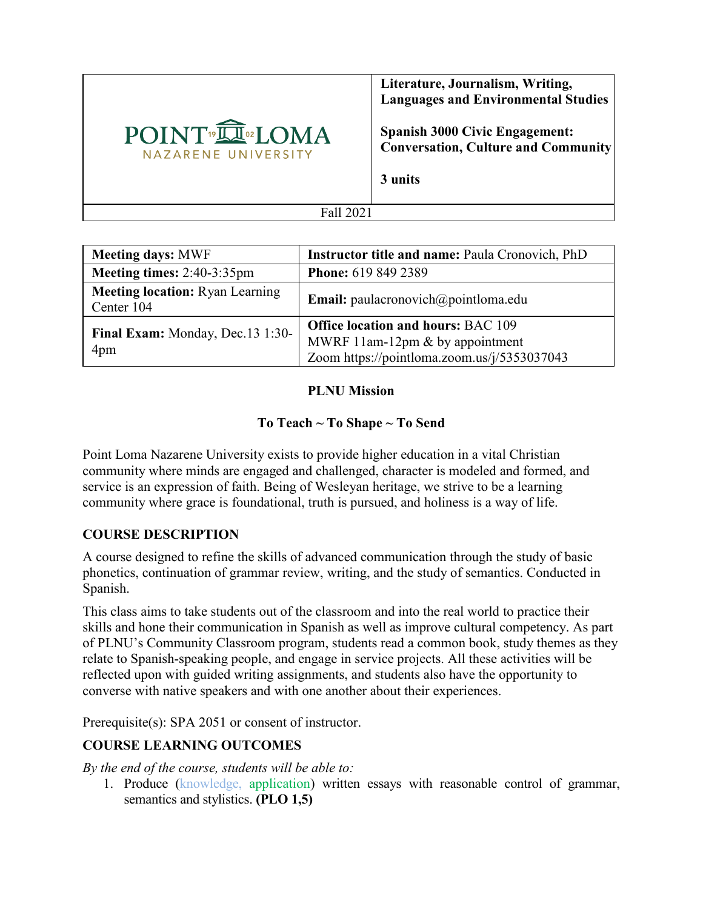

**Literature, Journalism, Writing, Languages and Environmental Studies**

**Spanish 3000 Civic Engagement: Conversation, Culture and Community** 

**3 units**

Fall 2021

| <b>Meeting days: MWF</b>                             | <b>Instructor title and name: Paula Cronovich, PhD</b>                                                                      |
|------------------------------------------------------|-----------------------------------------------------------------------------------------------------------------------------|
| Meeting times: $2:40-3:35$ pm                        | <b>Phone:</b> 619 849 2389                                                                                                  |
| <b>Meeting location:</b> Ryan Learning<br>Center 104 | <b>Email:</b> paulacronovich $\omega$ point loma.edu                                                                        |
| Final Exam: Monday, Dec.13 1:30-<br>4pm              | <b>Office location and hours: BAC 109</b><br>MWRF 11am-12pm & by appointment<br>Zoom https://pointloma.zoom.us/j/5353037043 |

## **PLNU Mission**

# **To Teach ~ To Shape ~ To Send**

Point Loma Nazarene University exists to provide higher education in a vital Christian community where minds are engaged and challenged, character is modeled and formed, and service is an expression of faith. Being of Wesleyan heritage, we strive to be a learning community where grace is foundational, truth is pursued, and holiness is a way of life.

# **COURSE DESCRIPTION**

A course designed to refine the skills of advanced communication through the study of basic phonetics, continuation of grammar review, writing, and the study of semantics. Conducted in Spanish.

This class aims to take students out of the classroom and into the real world to practice their skills and hone their communication in Spanish as well as improve cultural competency. As part of PLNU's Community Classroom program, students read a common book, study themes as they relate to Spanish-speaking people, and engage in service projects. All these activities will be reflected upon with guided writing assignments, and students also have the opportunity to converse with native speakers and with one another about their experiences.

Prerequisite(s): [SPA 2051](https://catalog.pointloma.edu/content.php?filter%5B27%5D=SPA&filter%5B29%5D=3000&filter%5Bcourse_type%5D=-1&filter%5Bkeyword%5D=&filter%5B32%5D=1&filter%5Bcpage%5D=1&cur_cat_oid=52&expand=&navoid=2927&search_database=Filter#tt3138) or consent of instructor.

# **COURSE LEARNING OUTCOMES**

*By the end of the course, students will be able to:*

1. Produce (knowledge, application) written essays with reasonable control of grammar, semantics and stylistics. **(PLO 1,5)**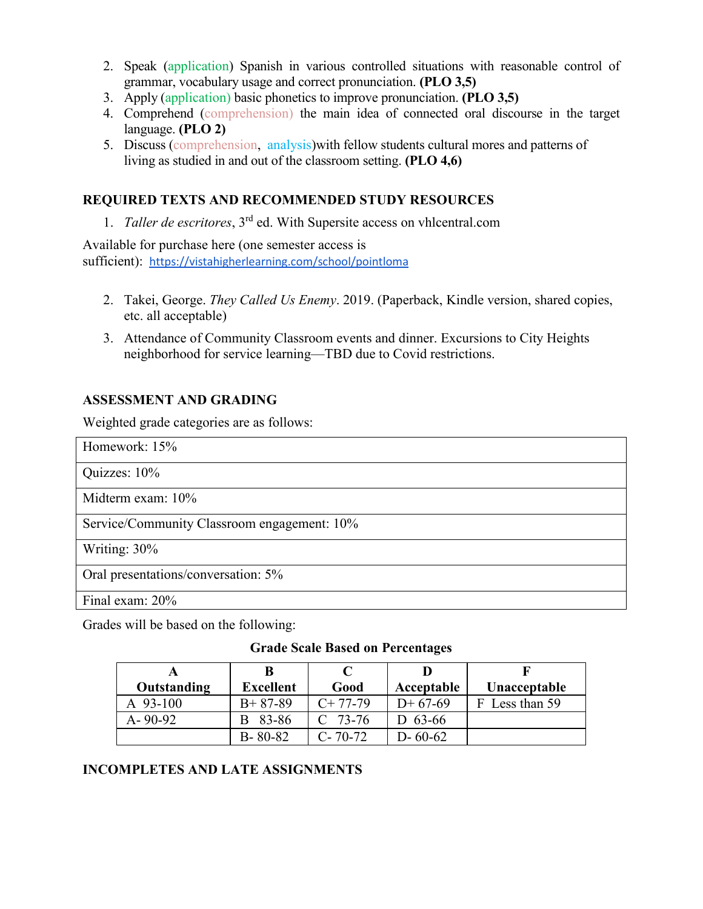- 2. Speak (application) Spanish in various controlled situations with reasonable control of grammar, vocabulary usage and correct pronunciation. **(PLO 3,5)**
- 3. Apply (application) basic phonetics to improve pronunciation. **(PLO 3,5)**
- 4. Comprehend (comprehension) the main idea of connected oral discourse in the target language. **(PLO 2)**
- 5. Discuss (comprehension, analysis)with fellow students cultural mores and patterns of living as studied in and out of the classroom setting. **(PLO 4,6)**

## **REQUIRED TEXTS AND RECOMMENDED STUDY RESOURCES**

1. *Taller de escritores*, 3rd ed. With Supersite access on vhlcentral.com

Available for purchase here (one semester access is sufficient): <https://vistahigherlearning.com/school/pointloma>

- 2. Takei, George. *They Called Us Enemy*. 2019. (Paperback, Kindle version, shared copies, etc. all acceptable)
- 3. Attendance of Community Classroom events and dinner. Excursions to City Heights neighborhood for service learning—TBD due to Covid restrictions.

#### **ASSESSMENT AND GRADING**

Weighted grade categories are as follows:

| Homework: $15%$                             |
|---------------------------------------------|
| Quizzes: 10%                                |
| Midterm exam: $10\%$                        |
| Service/Community Classroom engagement: 10% |
| Writing: 30%                                |
| Oral presentations/conversation: 5%         |
| Final exam: 20%                             |

Grades will be based on the following:

#### **Grade Scale Based on Percentages**

|               | B                |               |               |                |
|---------------|------------------|---------------|---------------|----------------|
| Outstanding   | <b>Excellent</b> | Good          | Acceptable    | Unacceptable   |
| $A$ 93-100    | $B+87-89$        | $C+77-79$     | $D+67-69$     | F Less than 59 |
| $A - 90 - 92$ | B 83-86          | $C$ 73-76     | D $63-66$     |                |
|               | $B - 80 - 82$    | $C - 70 - 72$ | $D - 60 - 62$ |                |

# **INCOMPLETES AND LATE ASSIGNMENTS**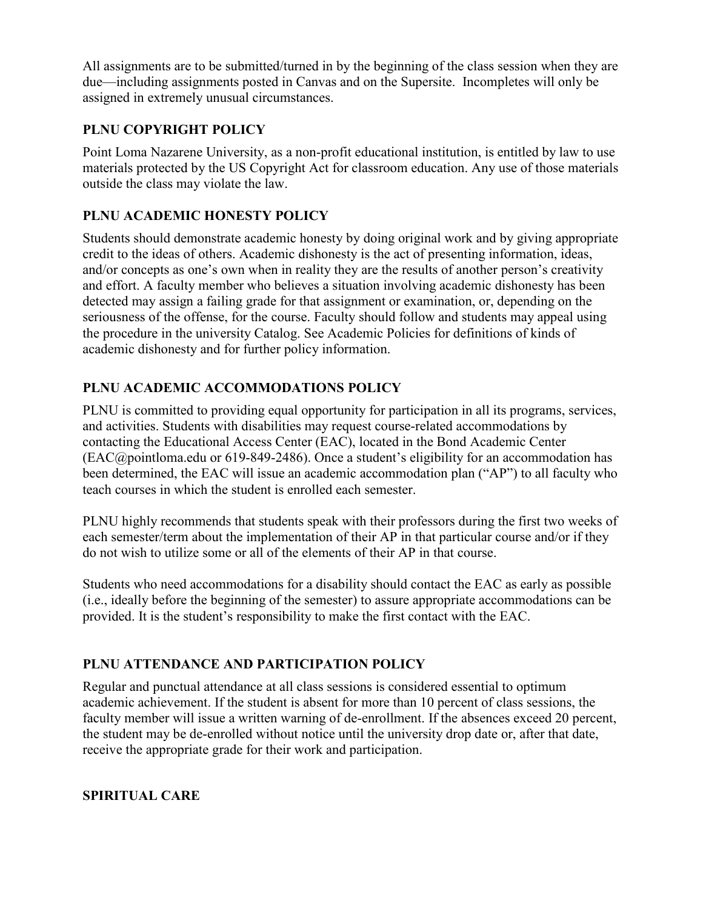All assignments are to be submitted/turned in by the beginning of the class session when they are due—including assignments posted in Canvas and on the Supersite. Incompletes will only be assigned in extremely unusual circumstances.

# **PLNU COPYRIGHT POLICY**

Point Loma Nazarene University, as a non-profit educational institution, is entitled by law to use materials protected by the US Copyright Act for classroom education. Any use of those materials outside the class may violate the law.

# **PLNU ACADEMIC HONESTY POLICY**

Students should demonstrate academic honesty by doing original work and by giving appropriate credit to the ideas of others. Academic dishonesty is the act of presenting information, ideas, and/or concepts as one's own when in reality they are the results of another person's creativity and effort. A faculty member who believes a situation involving academic dishonesty has been detected may assign a failing grade for that assignment or examination, or, depending on the seriousness of the offense, for the course. Faculty should follow and students may appeal using the procedure in the university Catalog. See [Academic Policies](https://catalog.pointloma.edu/content.php?catoid=52&navoid=2919#Academic_Honesty) for definitions of kinds of academic dishonesty and for further policy information.

# **PLNU ACADEMIC ACCOMMODATIONS POLICY**

PLNU is committed to providing equal opportunity for participation in all its programs, services, and activities. Students with disabilities may request course-related accommodations by contacting the Educational Access Center (EAC), located in the Bond Academic Center [\(EAC@pointloma.edu](mailto:EAC@pointloma.edu) or 619-849-2486). Once a student's eligibility for an accommodation has been determined, the EAC will issue an academic accommodation plan ("AP") to all faculty who teach courses in which the student is enrolled each semester.

PLNU highly recommends that students speak with their professors during the first two weeks of each semester/term about the implementation of their AP in that particular course and/or if they do not wish to utilize some or all of the elements of their AP in that course.

Students who need accommodations for a disability should contact the EAC as early as possible (i.e., ideally before the beginning of the semester) to assure appropriate accommodations can be provided. It is the student's responsibility to make the first contact with the EAC.

# **PLNU ATTENDANCE AND PARTICIPATION POLICY**

Regular and punctual attendance at all class sessions is considered essential to optimum academic achievement. If the student is absent for more than 10 percent of class sessions, the faculty member will issue a written warning of de-enrollment. If the absences exceed 20 percent, the student may be de-enrolled without notice until the university drop date or, after that date, receive the appropriate grade for their work and participation.

# **SPIRITUAL CARE**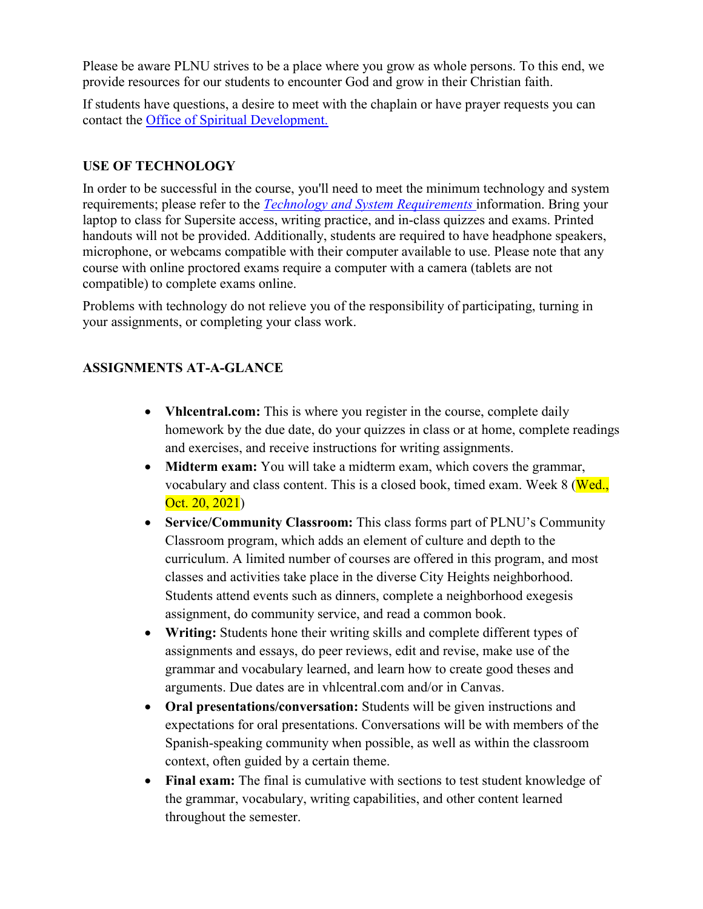Please be aware PLNU strives to be a place where you grow as whole persons. To this end, we provide resources for our students to encounter God and grow in their Christian faith.

If students have questions, a desire to meet with the chaplain or have prayer requests you can contact the Office of Spiritual Development.

## **USE OF TECHNOLOGY**

In order to be successful in the course, you'll need to meet the minimum technology and system requirements; please refer to the *[Technology and System Requirements](https://help.pointloma.edu/TDClient/1808/Portal/KB/ArticleDet?ID=108349)* information. Bring your laptop to class for Supersite access, writing practice, and in-class quizzes and exams. Printed handouts will not be provided. Additionally, students are required to have headphone speakers, microphone, or webcams compatible with their computer available to use. Please note that any course with online proctored exams require a computer with a camera (tablets are not compatible) to complete exams online.

Problems with technology do not relieve you of the responsibility of participating, turning in your assignments, or completing your class work.

# **ASSIGNMENTS AT-A-GLANCE**

- **Vhlcentral.com:** This is where you register in the course, complete daily homework by the due date, do your quizzes in class or at home, complete readings and exercises, and receive instructions for writing assignments.
- **Midterm exam:** You will take a midterm exam, which covers the grammar, vocabulary and class content. This is a closed book, timed exam. Week 8 (Wed., Oct. 20, 2021)
- **Service/Community Classroom:** This class forms part of PLNU's Community Classroom program, which adds an element of culture and depth to the curriculum. A limited number of courses are offered in this program, and most classes and activities take place in the diverse City Heights neighborhood. Students attend events such as dinners, complete a neighborhood exegesis assignment, do community service, and read a common book.
- **Writing:** Students hone their writing skills and complete different types of assignments and essays, do peer reviews, edit and revise, make use of the grammar and vocabulary learned, and learn how to create good theses and arguments. Due dates are in vhlcentral.com and/or in Canvas.
- **Oral presentations/conversation:** Students will be given instructions and expectations for oral presentations. Conversations will be with members of the Spanish-speaking community when possible, as well as within the classroom context, often guided by a certain theme.
- **Final exam:** The final is cumulative with sections to test student knowledge of the grammar, vocabulary, writing capabilities, and other content learned throughout the semester.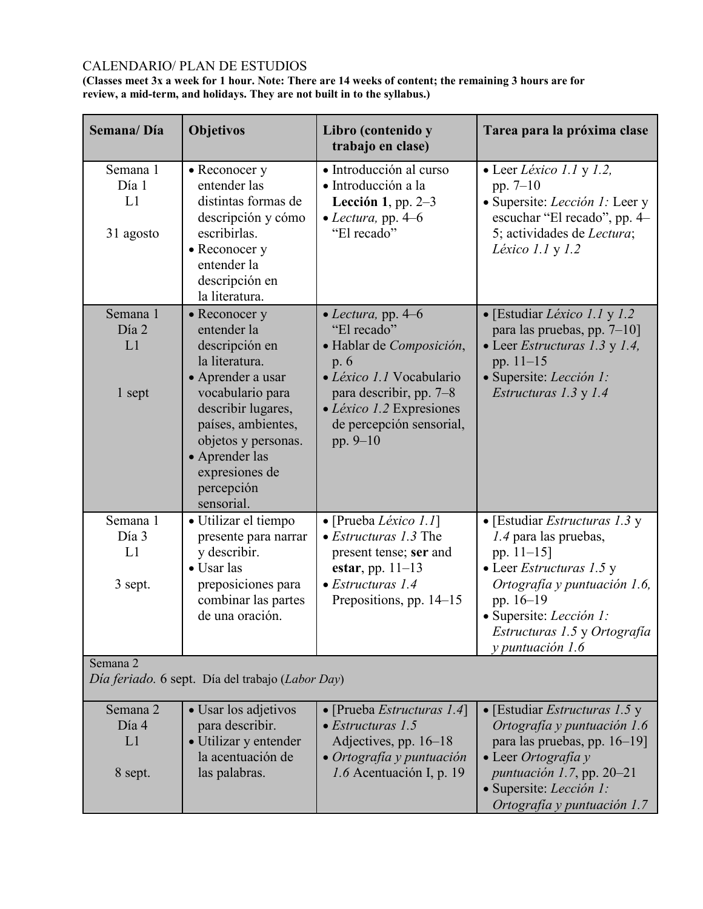# CALENDARIO/ PLAN DE ESTUDIOS

**(Classes meet 3x a week for 1 hour. Note: There are 14 weeks of content; the remaining 3 hours are for review, a mid-term, and holidays. They are not built in to the syllabus.)**

| Semana/Día                           | <b>Objetivos</b>                                                                                                                                                                                                                             | Libro (contenido y<br>trabajo en clase)                                                                                                                                                            | Tarea para la próxima clase                                                                                                                                                                                                            |
|--------------------------------------|----------------------------------------------------------------------------------------------------------------------------------------------------------------------------------------------------------------------------------------------|----------------------------------------------------------------------------------------------------------------------------------------------------------------------------------------------------|----------------------------------------------------------------------------------------------------------------------------------------------------------------------------------------------------------------------------------------|
| Semana 1<br>Día 1<br>L1<br>31 agosto | • Reconocer y<br>entender las<br>distintas formas de<br>descripción y cómo<br>escribirlas.<br>• Reconocer y<br>entender la<br>descripción en<br>la literatura.                                                                               | · Introducción al curso<br>· Introducción a la<br>Lección 1, pp. $2-3$<br>$\bullet$ <i>Lectura</i> , pp. 4–6<br>"El recado"                                                                        | $\bullet$ Leer Léxico 1.1 y 1.2,<br>pp. $7-10$<br>· Supersite: <i>Lección 1</i> : Leer y<br>escuchar "El recado", pp. 4–<br>5; actividades de Lectura;<br>Léxico $1.1 y 1.2$                                                           |
| Semana 1<br>Día 2<br>L1<br>1 sept    | • Reconocer y<br>entender la<br>descripción en<br>la literatura.<br>• Aprender a usar<br>vocabulario para<br>describir lugares,<br>países, ambientes,<br>objetos y personas.<br>• Aprender las<br>expresiones de<br>percepción<br>sensorial. | • Lectura, pp. $4-6$<br>"El recado"<br>· Hablar de Composición,<br>p. 6<br>· Léxico 1.1 Vocabulario<br>para describir, pp. 7–8<br>• Léxico 1.2 Expresiones<br>de percepción sensorial,<br>pp. 9-10 | • [Estudiar Léxico 1.1 y 1.2]<br>para las pruebas, pp. $7-10$ ]<br>• Leer Estructuras 1.3 y 1.4,<br>pp. $11-15$<br>· Supersite: Lección 1:<br>Estructuras 1.3 y 1.4                                                                    |
| Semana 1<br>Día 3<br>L1<br>3 sept.   | · Utilizar el tiempo<br>presente para narrar<br>y describir.<br>• Usar las<br>preposiciones para<br>combinar las partes<br>de una oración.                                                                                                   | $\bullet$ [Prueba <i>Léxico 1.1</i> ]<br>$\bullet$ <i>Estructuras 1.3</i> The<br>present tense; ser and<br>estar, pp. $11-13$<br>$\bullet$ Estructuras 1.4<br>Prepositions, pp. 14–15              | • [Estudiar <i>Estructuras 1.3</i> y<br>1.4 para las pruebas,<br>pp. $11-15$ ]<br>• Leer Estructuras 1.5 y<br>Ortografía y puntuación 1.6,<br>pp. 16-19<br>· Supersite: Lección 1:<br>Estructuras 1.5 y Ortografía<br>y puntuación 1.6 |
| Semana 2                             | Día feriado. 6 sept. Día del trabajo (Labor Day)                                                                                                                                                                                             |                                                                                                                                                                                                    |                                                                                                                                                                                                                                        |
| Semana 2<br>Día 4<br>L1<br>8 sept.   | • Usar los adjetivos<br>para describir.<br>· Utilizar y entender<br>la acentuación de<br>las palabras.                                                                                                                                       | • [Prueba Estructuras 1.4]<br>$\bullet$ Estructuras 1.5<br>Adjectives, pp. 16–18<br>• Ortografía y puntuación<br>1.6 Acentuación I, p. 19                                                          | • [Estudiar <i>Estructuras</i> $1.5 y$<br>Ortografía y puntuación 1.6<br>para las pruebas, pp. 16–19]<br>• Leer Ortografía y<br>puntuación 1.7, pp. 20-21<br>· Supersite: Lección 1:<br>Ortografía y puntuación 1.7                    |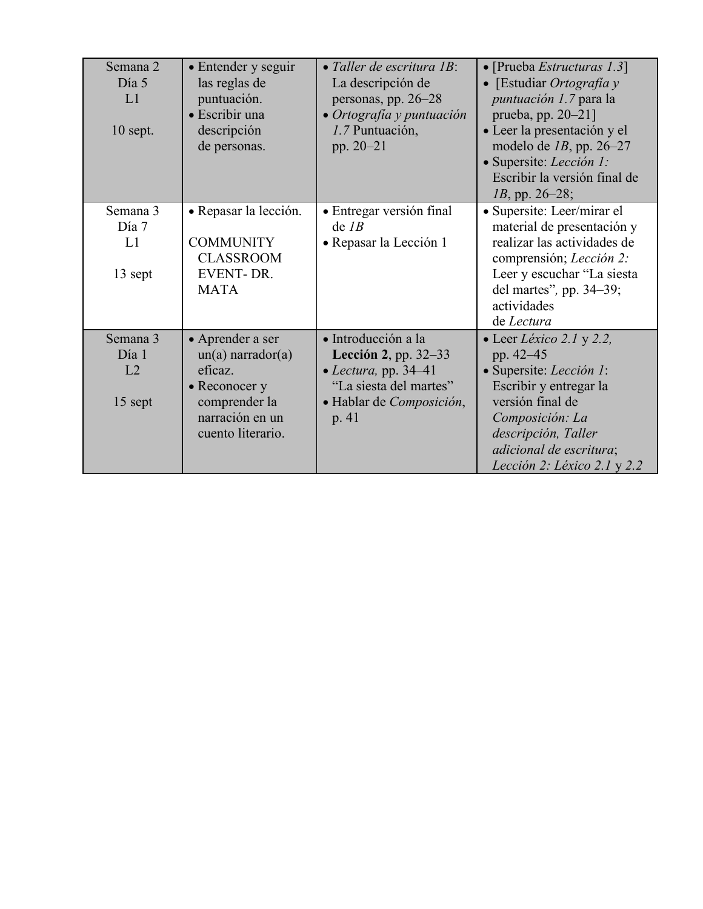| Semana 2<br>Día 5<br>L1<br>$10$ sept. | • Entender y seguir<br>las reglas de<br>puntuación.<br>• Escribir una<br>descripción<br>de personas.                            | $\bullet$ Taller de escritura 1B:<br>La descripción de<br>personas, pp. 26-28<br>• Ortografía y puntuación<br>1.7 Puntuación,<br>pp. $20 - 21$ | • [Prueba Estructuras 1.3]<br>[Estudiar Ortografía y<br>$\bullet$<br>puntuación 1.7 para la<br>prueba, pp. 20-21]<br>· Leer la presentación y el<br>modelo de $IB$ , pp. 26-27<br>· Supersite: Lección 1:<br>Escribir la versión final de<br>$1B$ , pp. 26–28; |
|---------------------------------------|---------------------------------------------------------------------------------------------------------------------------------|------------------------------------------------------------------------------------------------------------------------------------------------|----------------------------------------------------------------------------------------------------------------------------------------------------------------------------------------------------------------------------------------------------------------|
| Semana 3<br>Día 7<br>L1<br>13 sept    | • Repasar la lección.<br><b>COMMUNITY</b><br><b>CLASSROOM</b><br><b>EVENT-DR.</b><br><b>MATA</b>                                | • Entregar versión final<br>$de$ <i>IB</i><br>• Repasar la Lección 1                                                                           | • Supersite: Leer/mirar el<br>material de presentación y<br>realizar las actividades de<br>comprensión; Lección 2:<br>Leer y escuchar "La siesta<br>del martes", pp. 34-39;<br>actividades<br>de Lectura                                                       |
| Semana 3<br>Día 1<br>L2<br>15 sept    | • Aprender a ser<br>$un(a)$ narrador $(a)$<br>eficaz.<br>• Reconocer y<br>comprender la<br>narración en un<br>cuento literario. | · Introducción a la<br>Lección 2, pp. $32-33$<br>$\bullet$ Lectura, pp. 34-41<br>"La siesta del martes"<br>· Hablar de Composición,<br>p. 41   | • Leer Léxico 2.1 y 2.2,<br>pp. 42-45<br>· Supersite: Lección 1:<br>Escribir y entregar la<br>versión final de<br>Composición: La<br>descripción, Taller<br>adicional de escritura;<br>Lección 2: Léxico 2.1 y 2.2                                             |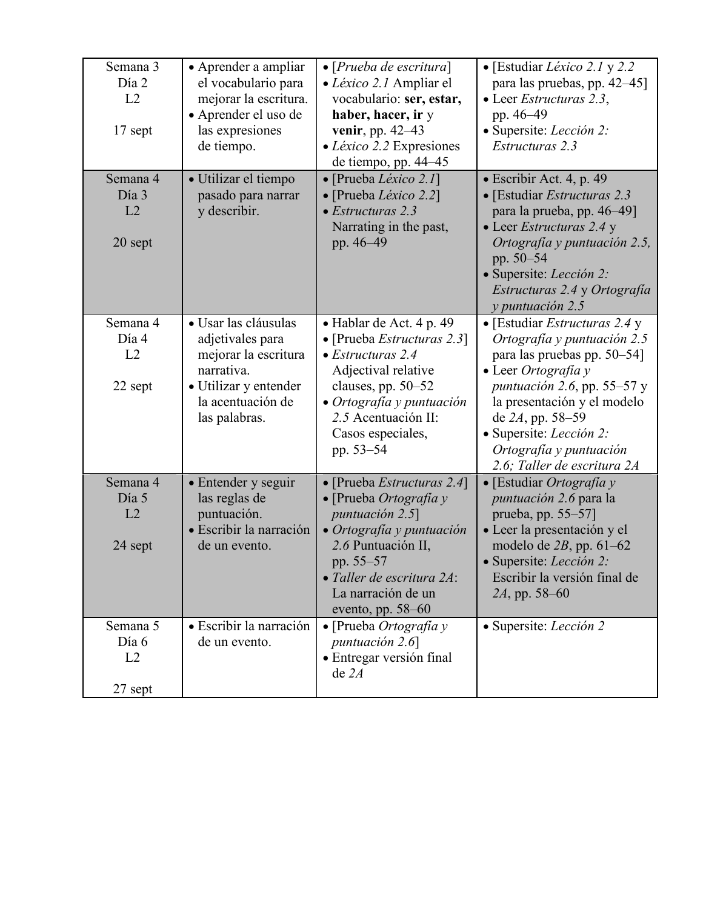| Semana 3<br>Día 2<br>L2<br>17 sept | • Aprender a ampliar<br>el vocabulario para<br>mejorar la escritura.<br>• Aprender el uso de<br>las expresiones<br>de tiempo.                 | $\bullet$ [Prueba de escritura]<br>• Léxico 2.1 Ampliar el<br>vocabulario: ser, estar,<br>haber, hacer, ir y<br>venir, pp. 42–43<br>$\bullet$ <i>Léxico 2.2</i> Expresiones<br>de tiempo, pp. 44–45                                   | • [Estudiar Léxico 2.1 y 2.2]<br>para las pruebas, pp. 42–45]<br>• Leer Estructuras 2.3,<br>pp. 46–49<br>· Supersite: Lección 2:<br>Estructuras 2.3                                                                                                                                          |
|------------------------------------|-----------------------------------------------------------------------------------------------------------------------------------------------|---------------------------------------------------------------------------------------------------------------------------------------------------------------------------------------------------------------------------------------|----------------------------------------------------------------------------------------------------------------------------------------------------------------------------------------------------------------------------------------------------------------------------------------------|
| Semana 4<br>Día 3<br>L2<br>20 sept | · Utilizar el tiempo<br>pasado para narrar<br>y describir.                                                                                    | $\bullet$ [Prueba <i>Léxico 2.1</i> ]<br>• [Prueba Léxico 2.2]<br>$\bullet$ Estructuras 2.3<br>Narrating in the past,<br>pp. 46-49                                                                                                    | · Escribir Act. 4, p. 49<br>• [Estudiar Estructuras 2.3<br>para la prueba, pp. 46–49]<br>• Leer Estructuras 2.4 y<br>Ortografía y puntuación 2.5,<br>pp. 50–54<br>• Supersite: <i>Lección 2:</i><br>Estructuras 2.4 y Ortografía<br>y puntuación 2.5                                         |
| Semana 4<br>Día 4<br>L2<br>22 sept | · Usar las cláusulas<br>adjetivales para<br>mejorar la escritura<br>narrativa.<br>• Utilizar y entender<br>la acentuación de<br>las palabras. | • Hablar de Act. 4 p. 49<br>$\bullet$ [Prueba <i>Estructuras</i> 2.3]<br>$\bullet$ Estructuras 2.4<br>Adjectival relative<br>clauses, pp. 50-52<br>• Ortografía y puntuación<br>2.5 Acentuación II:<br>Casos especiales,<br>pp. 53–54 | • [Estudiar Estructuras 2.4 y<br>Ortografía y puntuación 2.5<br>para las pruebas pp. 50–54]<br>• Leer Ortografía y<br>puntuación 2.6, pp. 55-57 y<br>la presentación y el modelo<br>de $2A$ , pp. 58-59<br>· Supersite: Lección 2:<br>Ortografía y puntuación<br>2.6; Taller de escritura 2A |
| Semana 4<br>Día 5<br>L2<br>24 sept | • Entender y seguir<br>las reglas de<br>puntuación.<br>· Escribir la narración<br>de un evento.                                               | • [Prueba Estructuras 2.4]<br>$\bullet$ [Prueba Ortografía y<br>puntuación 2.5]<br>· Ortografía y puntuación<br>2.6 Puntuación II,<br>pp. 55-57<br>• Taller de escritura 2A:<br>La narración de un<br>evento, pp. $58-60$             | • [Estudiar <i>Ortografia</i> $y$<br><i>puntuación 2.6</i> para la<br>prueba, pp. 55–57]<br>· Leer la presentación y el<br>modelo de $2B$ , pp. 61-62<br>· Supersite: Lección 2:<br>Escribir la versión final de<br>$2A$ , pp. 58–60                                                         |
| Semana 5<br>Día 6<br>L2<br>27 sept | · Escribir la narración<br>de un evento.                                                                                                      | $\bullet$ [Prueba <i>Ortografia</i> y<br>puntuación $2.6$<br>· Entregar versión final<br>de 2A                                                                                                                                        | • Supersite: Lección 2                                                                                                                                                                                                                                                                       |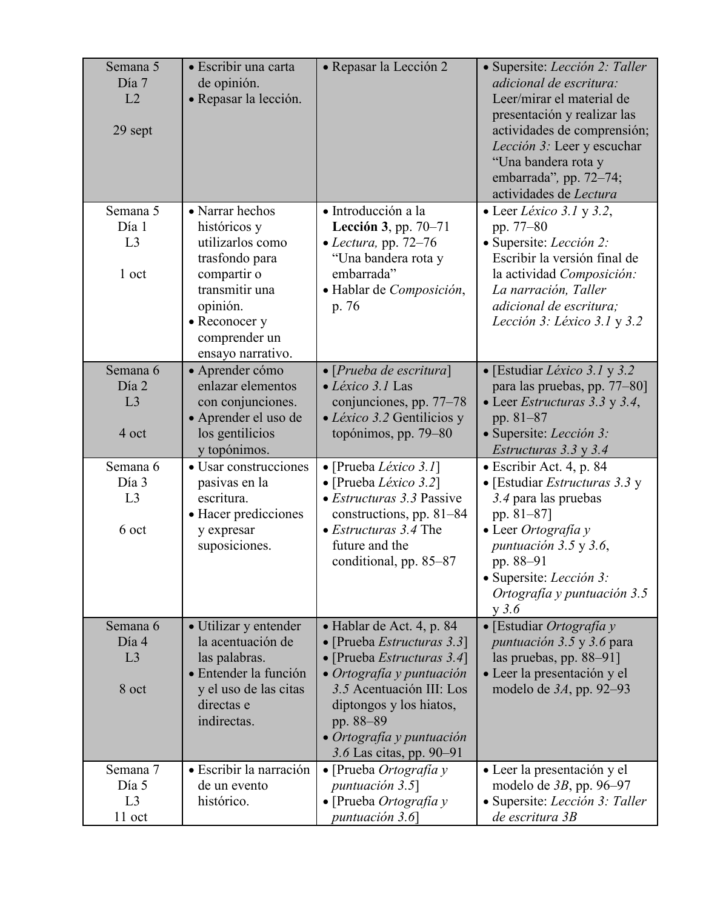| Semana 5<br>Día 7<br>L2<br>29 sept           | • Escribir una carta<br>de opinión.<br>· Repasar la lección.                                                                               | • Repasar la Lección 2                                                                                                                                                                                                                                         | · Supersite: Lección 2: Taller<br>adicional de escritura:<br>Leer/mirar el material de<br>presentación y realizar las<br>actividades de comprensión;<br>Lección 3: Leer y escuchar<br>"Una bandera rota y<br>embarrada", pp. 72-74;<br>actividades de Lectura |
|----------------------------------------------|--------------------------------------------------------------------------------------------------------------------------------------------|----------------------------------------------------------------------------------------------------------------------------------------------------------------------------------------------------------------------------------------------------------------|---------------------------------------------------------------------------------------------------------------------------------------------------------------------------------------------------------------------------------------------------------------|
| Semana 5<br>Día 1<br>L3                      | • Narrar hechos<br>históricos y<br>utilizarlos como                                                                                        | · Introducción a la<br>Lección 3, pp. 70-71<br>$\bullet$ Lectura, pp. 72-76                                                                                                                                                                                    | • Leer Léxico 3.1 y 3.2,<br>pp. 77–80<br>· Supersite: Lección 2:                                                                                                                                                                                              |
| 1 oct                                        | trasfondo para<br>compartir o<br>transmitir una<br>opinión.<br>• Reconocer y<br>comprender un<br>ensayo narrativo.                         | "Una bandera rota y<br>embarrada"<br>· Hablar de Composición,<br>p. 76                                                                                                                                                                                         | Escribir la versión final de<br>la actividad Composición:<br>La narración, Taller<br>adicional de escritura;<br>Lección 3: Léxico 3.1 y 3.2                                                                                                                   |
| Semana 6<br>Día 2<br>L <sub>3</sub><br>4 oct | · Aprender cómo<br>enlazar elementos<br>con conjunciones.<br>• Aprender el uso de<br>los gentilicios<br>y topónimos.                       | $\bullet$ [Prueba de escritura]<br>• Léxico 3.1 Las<br>conjunciones, pp. 77–78<br>· Léxico 3.2 Gentilicios y<br>topónimos, pp. 79-80                                                                                                                           | • [Estudiar Léxico 3.1 y 3.2]<br>para las pruebas, pp. 77-80]<br>• Leer Estructuras 3.3 y 3.4,<br>pp. $81 - 87$<br>· Supersite: Lección 3:<br>Estructuras 3.3 y 3.4                                                                                           |
| Semana 6<br>Día 3<br>L3<br>6 oct             | • Usar construcciones<br>pasivas en la<br>escritura.<br>• Hacer predicciones<br>y expresar<br>suposiciones.                                | $\bullet$ [Prueba <i>Léxico 3.1</i> ]<br>• [Prueba <i>Léxico</i> 3.2]<br>• Estructuras 3.3 Passive<br>constructions, pp. $81-84$<br>$\bullet$ <i>Estructuras</i> 3.4 The<br>future and the<br>conditional, pp. 85-87                                           | • Escribir Act. 4, p. 84<br>• [Estudiar <i>Estructuras</i> 3.3 y<br>3.4 para las pruebas<br>pp. 81-87]<br>$\bullet$ Leer Ortografía y<br>puntuación 3.5 y 3.6,<br>pp. 88-91<br>· Supersite: Lección 3:<br>Ortografía y puntuación 3.5<br>$y$ 3.6              |
| Semana 6<br>Día 4<br>L3<br>8 oct             | • Utilizar y entender<br>la acentuación de<br>las palabras.<br>· Entender la función<br>y el uso de las citas<br>directas e<br>indirectas. | · Hablar de Act. 4, p. 84<br>• [Prueba <i>Estructuras</i> 3.3]<br>• [Prueba Estructuras 3.4]<br>• Ortografía y puntuación<br>3.5 Acentuación III: Los<br>diptongos y los hiatos,<br>pp. 88–89<br>$\bullet$ Ortografía y puntuación<br>3.6 Las citas, pp. 90–91 | • [Estudiar Ortografía y<br><i>puntuación</i> 3.5 y 3.6 para<br>las pruebas, pp. $88-91$ ]<br>· Leer la presentación y el<br>modelo de $3A$ , pp. 92-93                                                                                                       |
| Semana 7<br>Día 5<br>L3<br>11 oct            | · Escribir la narración<br>de un evento<br>histórico.                                                                                      | $\bullet$ [Prueba <i>Ortografia</i> y<br>puntuación 3.5]<br>$\bullet$ [Prueba Ortografía y<br>puntuación 3.6]                                                                                                                                                  | • Leer la presentación y el<br>modelo de $3B$ , pp. 96-97<br>· Supersite: Lección 3: Taller<br>de escritura 3B                                                                                                                                                |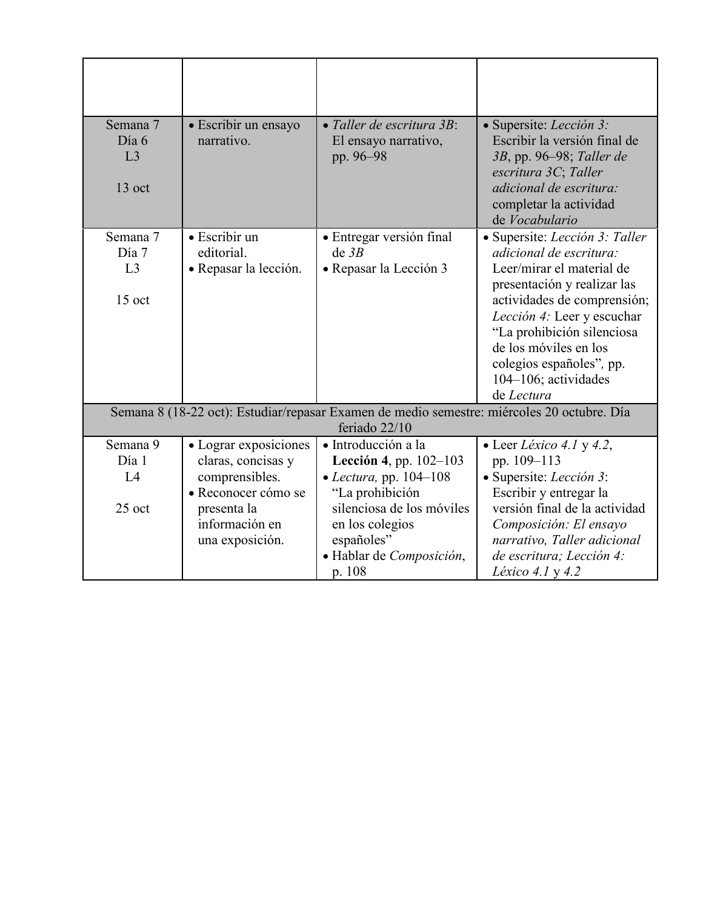| Semana 7<br>Día 6<br>L <sub>3</sub><br>13 oct | • Escribir un ensayo<br>narrativo.                   | • Taller de escritura 3B:<br>El ensayo narrativo,<br>pp. 96-98                             | • Supersite: <i>Lección</i> 3:<br>Escribir la versión final de<br>3B, pp. 96–98; Taller de<br>escritura 3C; Taller<br>adicional de escritura:<br>completar la actividad                                                                                                                                               |
|-----------------------------------------------|------------------------------------------------------|--------------------------------------------------------------------------------------------|-----------------------------------------------------------------------------------------------------------------------------------------------------------------------------------------------------------------------------------------------------------------------------------------------------------------------|
|                                               |                                                      |                                                                                            | de Vocabulario                                                                                                                                                                                                                                                                                                        |
| Semana 7<br>Día 7<br>L <sub>3</sub><br>15 oct | · Escribir un<br>editorial.<br>• Repasar la lección. | · Entregar versión final<br>de 3B<br>• Repasar la Lección 3                                | · Supersite: Lección 3: Taller<br><i>adicional de escritura:</i><br>Leer/mirar el material de<br>presentación y realizar las<br>actividades de comprensión;<br>Lección 4: Leer y escuchar<br>"La prohibición silenciosa<br>de los móviles en los<br>colegios españoles", pp.<br>$104-106$ ; actividades<br>de Lectura |
|                                               |                                                      | Semana 8 (18-22 oct): Estudiar/repasar Examen de medio semestre: miércoles 20 octubre. Día |                                                                                                                                                                                                                                                                                                                       |
|                                               |                                                      | feriado 22/10                                                                              |                                                                                                                                                                                                                                                                                                                       |
| Semana 9<br>Día 1                             | • Lograr exposiciones                                | · Introducción a la                                                                        | • Leer Léxico 4.1 y 4.2,                                                                                                                                                                                                                                                                                              |
| L4                                            | claras, concisas y<br>comprensibles.                 | <b>Lección 4</b> , pp. $102-103$<br>• Lectura, pp. $104-108$                               | pp. 109-113<br>• Supersite: Lección 3:                                                                                                                                                                                                                                                                                |
|                                               | · Reconocer cómo se                                  | "La prohibición                                                                            | Escribir y entregar la                                                                                                                                                                                                                                                                                                |
| 25 oct                                        | presenta la                                          | silenciosa de los móviles                                                                  | versión final de la actividad                                                                                                                                                                                                                                                                                         |
|                                               | información en                                       | en los colegios                                                                            | Composición: El ensayo                                                                                                                                                                                                                                                                                                |
|                                               | una exposición.                                      | españoles"                                                                                 | narrativo, Taller adicional                                                                                                                                                                                                                                                                                           |
|                                               |                                                      | · Hablar de Composición,                                                                   | de escritura; Lección 4:                                                                                                                                                                                                                                                                                              |
|                                               |                                                      | p. 108                                                                                     | <i>Léxico 4.1</i> y 4.2                                                                                                                                                                                                                                                                                               |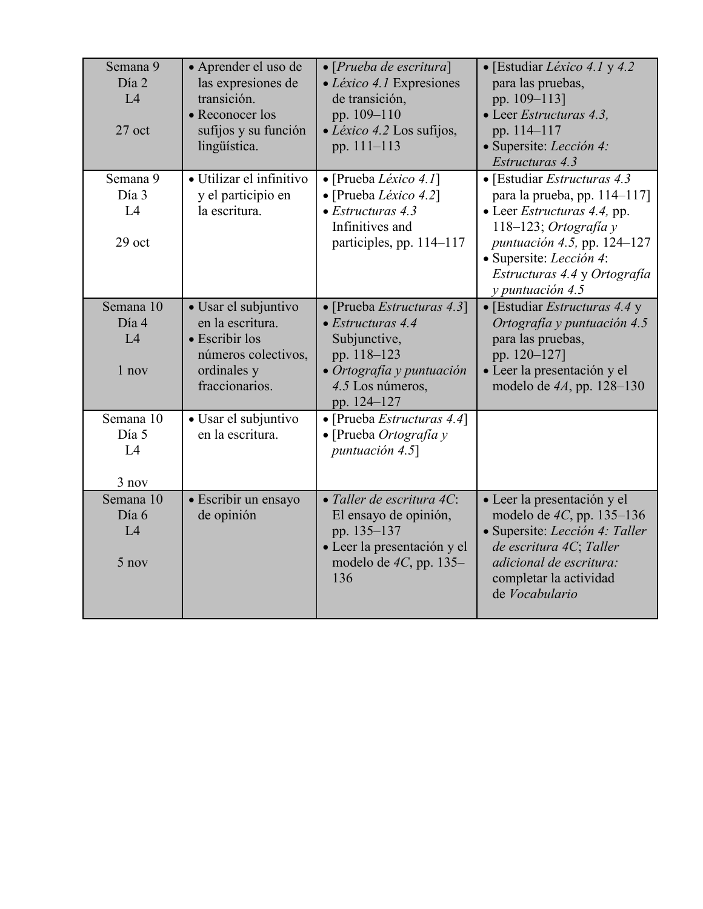| Semana 9<br>Día 2<br>IA<br>$27$ oct | • Aprender el uso de<br>las expresiones de<br>transición.<br>• Reconocer los<br>sufijos y su función<br>lingüística. | $\bullet$ [Prueba de escritura]<br>• Léxico 4.1 Expresiones<br>de transición,<br>pp. 109-110<br>• Léxico 4.2 Los sufijos,<br>pp. 111-113               | • [Estudiar <i>Léxico 4.1</i> y 4.2<br>para las pruebas,<br>pp. 109-113]<br>• Leer Estructuras 4.3,<br>pp. 114-117<br>· Supersite: Lección 4:<br>Estructuras 4.3                                                                          |
|-------------------------------------|----------------------------------------------------------------------------------------------------------------------|--------------------------------------------------------------------------------------------------------------------------------------------------------|-------------------------------------------------------------------------------------------------------------------------------------------------------------------------------------------------------------------------------------------|
| Semana 9<br>Día 3<br>L4<br>29 oct   | · Utilizar el infinitivo<br>y el participio en<br>la escritura.                                                      | • [Prueba Léxico 4.1]<br>• [Prueba Léxico 4.2]<br>$\bullet$ Estructuras 4.3<br>Infinitives and<br>participles, pp. 114-117                             | • [Estudiar Estructuras 4.3]<br>para la prueba, pp. 114-117]<br>• Leer <i>Estructuras</i> 4.4, pp.<br>118-123; Ortografía y<br>puntuación 4.5, pp. 124-127<br>· Supersite: Lección 4:<br>Estructuras 4.4 y Ortografía<br>y puntuación 4.5 |
| Semana 10<br>Día 4<br>L4<br>1 nov   | · Usar el subjuntivo<br>en la escritura.<br>• Escribir los<br>números colectivos,<br>ordinales y<br>fraccionarios.   | • [Prueba Estructuras 4.3]<br>$\bullet$ Estructuras 4.4<br>Subjunctive,<br>pp. 118-123<br>• Ortografía y puntuación<br>4.5 Los números,<br>pp. 124-127 | • [Estudiar Estructuras 4.4 y<br>Ortografía y puntuación 4.5<br>para las pruebas,<br>pp. 120-127]<br>· Leer la presentación y el<br>modelo de $4A$ , pp. 128-130                                                                          |
| Semana 10<br>Día 5<br>L4<br>3 nov   | • Usar el subjuntivo<br>en la escritura.                                                                             | • [Prueba Estructuras 4.4]<br>• [Prueba Ortografia y<br>puntuación 4.5]                                                                                |                                                                                                                                                                                                                                           |
| Semana 10<br>Día 6<br>L4<br>5 nov   | · Escribir un ensayo<br>de opinión                                                                                   | · Taller de escritura 4C:<br>El ensayo de opinión,<br>pp. 135-137<br>· Leer la presentación y el<br>modelo de $4C$ , pp. 135-<br>136                   | • Leer la presentación y el<br>modelo de 4C, pp. 135-136<br>· Supersite: Lección 4: Taller<br>de escritura 4C; Taller<br>adicional de escritura:<br>completar la actividad<br>de Vocabulario                                              |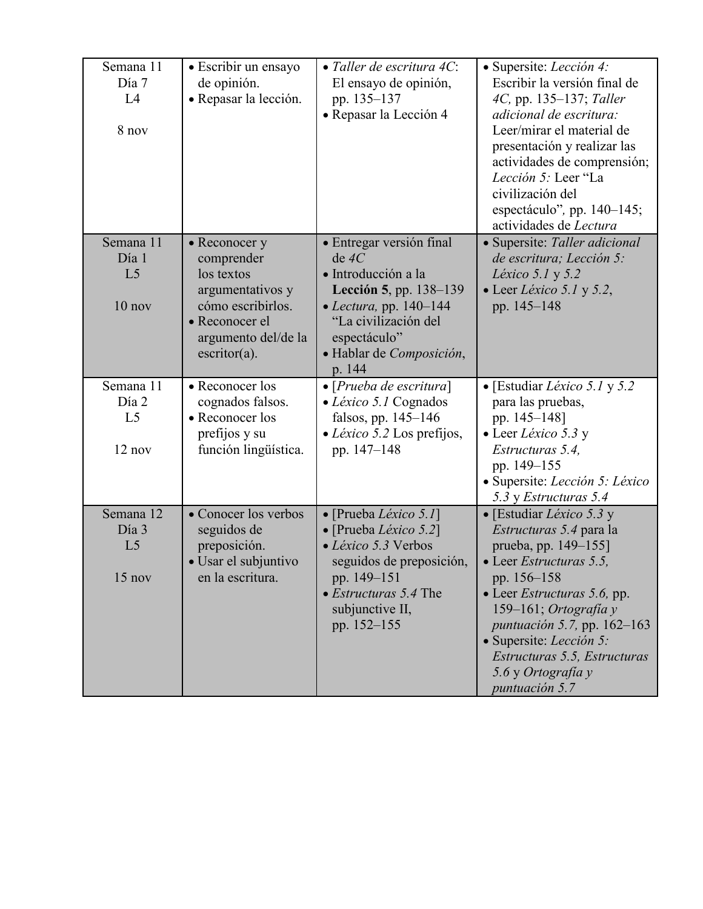| Semana 11<br>Día 7<br>L4<br>8 nov                | • Escribir un ensayo<br>de opinión.<br>• Repasar la lección.                                                                                          | · Taller de escritura 4C:<br>El ensayo de opinión,<br>pp. 135-137<br>• Repasar la Lección 4                                                                                                           | · Supersite: Lección 4:<br>Escribir la versión final de<br>4C, pp. 135–137; Taller<br>adicional de escritura:<br>Leer/mirar el material de<br>presentación y realizar las<br>actividades de comprensión;<br>Lección 5: Leer "La<br>civilización del<br>espectáculo", pp. 140–145;<br>actividades de Lectura                          |
|--------------------------------------------------|-------------------------------------------------------------------------------------------------------------------------------------------------------|-------------------------------------------------------------------------------------------------------------------------------------------------------------------------------------------------------|--------------------------------------------------------------------------------------------------------------------------------------------------------------------------------------------------------------------------------------------------------------------------------------------------------------------------------------|
| Semana 11<br>Día 1<br>L <sub>5</sub><br>$10$ nov | • Reconocer y<br>comprender<br>los textos<br>argumentativos y<br>cómo escribirlos.<br>• Reconocer el<br>argumento del/de la<br>$\text{escritor}(a)$ . | · Entregar versión final<br>$de\ 4C$<br>· Introducción a la<br>Lección 5, pp. 138-139<br>$\bullet$ Lectura, pp. 140–144<br>"La civilización del<br>espectáculo"<br>· Hablar de Composición,<br>p. 144 | • Supersite: Taller adicional<br>de escritura; Lección 5:<br><i>Léxico</i> 5.1 y 5.2<br>• Leer Léxico 5.1 y 5.2,<br>pp. 145-148                                                                                                                                                                                                      |
| Semana 11<br>Día 2<br>L <sub>5</sub><br>12 nov   | • Reconocer los<br>cognados falsos.<br>• Reconocer los<br>prefijos y su<br>función lingüística.                                                       | $\bullet$ [ <i>Prueba de escritura</i> ]<br>$\bullet$ <i>Léxico</i> 5.1 Cognados<br>falsos, pp. 145-146<br>• Léxico 5.2 Los prefijos,<br>pp. 147–148                                                  | • [Estudiar <i>Léxico</i> 5.1 y 5.2<br>para las pruebas,<br>pp. 145–148]<br>$\bullet$ Leer Léxico 5.3 y<br>Estructuras 5.4,<br>pp. 149-155<br>• Supersite: Lección 5: Léxico<br>5.3 y Estructuras 5.4                                                                                                                                |
| Semana 12<br>Día 3<br>L <sub>5</sub><br>$15$ nov | • Conocer los verbos<br>seguidos de<br>preposición.<br>· Usar el subjuntivo<br>en la escritura.                                                       | • [Prueba <i>Léxico</i> 5.1]<br>• [Prueba Léxico 5.2]<br>• Léxico 5.3 Verbos<br>seguidos de preposición,<br>pp. 149-151<br>$\bullet$ <i>Estructuras</i> 5.4 The<br>subjunctive II,<br>pp. 152-155     | • [Estudiar <i>Léxico</i> 5.3 y<br>Estructuras 5.4 para la<br>prueba, pp. 149–155]<br>• Leer <i>Estructuras</i> 5.5,<br>pp. 156–158<br>• Leer <i>Estructuras</i> 5.6, pp.<br>159–161; Ortografía y<br>puntuación 5.7, pp. 162-163<br>· Supersite: Lección 5:<br>Estructuras 5.5, Estructuras<br>5.6 y Ortografía y<br>puntuación 5.7 |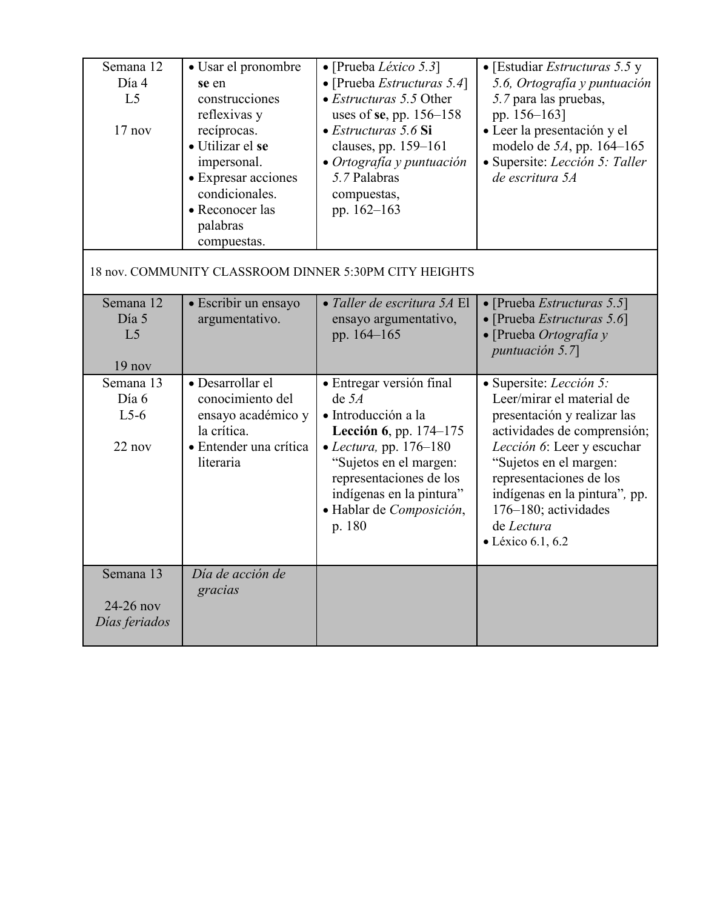| Semana 12<br>Día 4<br>L <sub>5</sub><br>$17$ nov | · Usar el pronombre<br>se en<br>construcciones<br>reflexivas y<br>recíprocas.<br>• Utilizar el se<br>impersonal.<br>• Expresar acciones<br>condicionales.<br>• Reconocer las<br>palabras<br>compuestas. | • [Prueba <i>Léxico</i> 5.3]<br>$\bullet$ [Prueba <i>Estructuras</i> 5.4]<br>$\bullet$ <i>Estructuras</i> 5.5 Other<br>uses of se, pp. $156-158$<br>• Estructuras 5.6 Si<br>clauses, pp. 159-161<br>• Ortografía y puntuación<br>5.7 Palabras<br>compuestas,<br>pp. 162-163 | • [Estudiar <i>Estructuras</i> 5.5 y<br>5.6, Ortografía y puntuación<br>5.7 para las pruebas,<br>pp. 156-163]<br>· Leer la presentación y el<br>modelo de 5A, pp. 164-165<br>· Supersite: Lección 5: Taller<br>de escritura 5A                                                                            |
|--------------------------------------------------|---------------------------------------------------------------------------------------------------------------------------------------------------------------------------------------------------------|-----------------------------------------------------------------------------------------------------------------------------------------------------------------------------------------------------------------------------------------------------------------------------|-----------------------------------------------------------------------------------------------------------------------------------------------------------------------------------------------------------------------------------------------------------------------------------------------------------|
|                                                  |                                                                                                                                                                                                         | 18 nov. COMMUNITY CLASSROOM DINNER 5:30PM CITY HEIGHTS                                                                                                                                                                                                                      |                                                                                                                                                                                                                                                                                                           |
| Semana 12<br>Día 5<br>L <sub>5</sub><br>19 nov   | • Escribir un ensayo<br>argumentativo.                                                                                                                                                                  | • Taller de escritura 5A El<br>ensayo argumentativo,<br>pp. 164-165                                                                                                                                                                                                         | • [Prueba Estructuras 5.5]<br>• [Prueba Estructuras 5.6]<br>• [Prueba Ortografía y<br>puntuación $5.7$                                                                                                                                                                                                    |
| Semana 13<br>Día 6<br>$L5-6$<br>22 nov           | · Desarrollar el<br>conocimiento del<br>ensayo académico y<br>la crítica.<br>· Entender una crítica<br>literaria                                                                                        | · Entregar versión final<br>de $5A$<br>· Introducción a la<br>Lección 6, pp. 174-175<br>$\bullet$ <i>Lectura</i> , pp. 176–180<br>"Sujetos en el margen:<br>representaciones de los<br>indígenas en la pintura"<br>· Hablar de Composición,<br>p. 180                       | · Supersite: Lección 5:<br>Leer/mirar el material de<br>presentación y realizar las<br>actividades de comprensión;<br>Lección 6: Leer y escuchar<br>"Sujetos en el margen:<br>representaciones de los<br>indígenas en la pintura", pp.<br>176-180; actividades<br>de Lectura<br>$\bullet$ Léxico 6.1, 6.2 |
| Semana 13<br>24-26 nov<br>Días feriados          | Día de acción de<br>gracias                                                                                                                                                                             |                                                                                                                                                                                                                                                                             |                                                                                                                                                                                                                                                                                                           |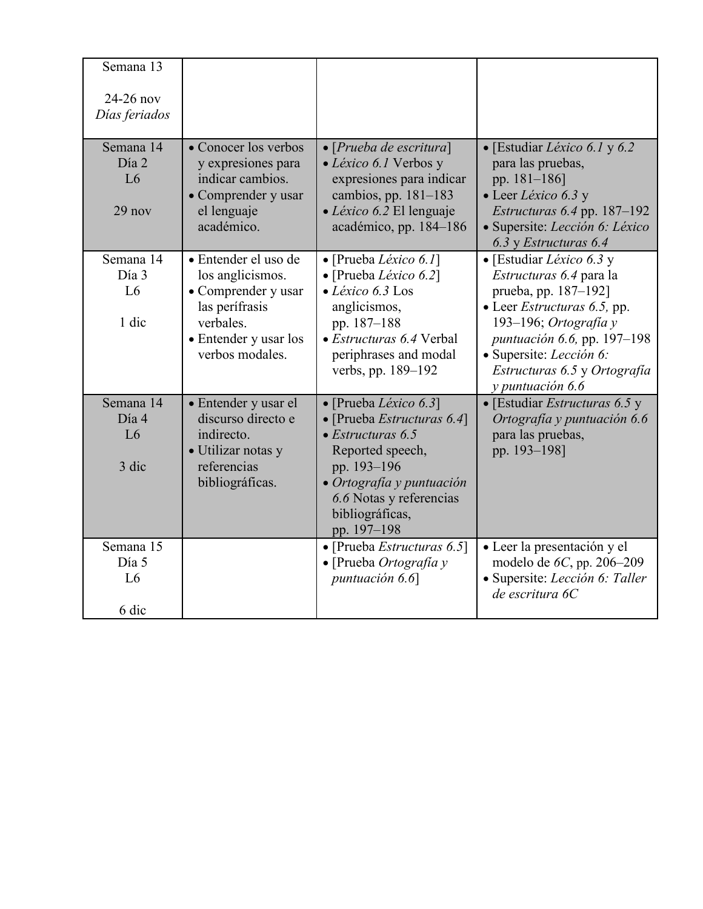| Semana 13          |                                            |                                                                   |                                                                  |
|--------------------|--------------------------------------------|-------------------------------------------------------------------|------------------------------------------------------------------|
| $24-26$ nov        |                                            |                                                                   |                                                                  |
| Días feriados      |                                            |                                                                   |                                                                  |
| Semana 14<br>Día 2 | • Conocer los verbos<br>y expresiones para | $\bullet$ [Prueba de escritura]<br>· Léxico 6.1 Verbos y          | · [Estudiar Léxico 6.1 y 6.2<br>para las pruebas,                |
| L6                 | indicar cambios.<br>• Comprender y usar    | expresiones para indicar<br>cambios, pp. $181-183$                | pp. 181-186]<br>• Leer Léxico 6.3 y                              |
| 29 nov             | el lenguaje                                | · Léxico 6.2 El lenguaje                                          | <i>Estructuras</i> $6.4$ pp. 187–192                             |
|                    | académico.                                 | académico, pp. 184-186                                            | · Supersite: Lección 6: Léxico<br>6.3 y Estructuras 6.4          |
| Semana 14          | • Entender el uso de                       | $\bullet$ [Prueba <i>Léxico 6.1</i> ]                             | • [Estudiar <i>Léxico</i> 6.3 y                                  |
| Día 3<br>L6        | los anglicismos.<br>• Comprender y usar    | $\bullet$ [Prueba <i>Léxico 6.2</i> ]<br>$\bullet$ Léxico 6.3 Los | <i>Estructuras</i> 6.4 para la<br>prueba, pp. 187-192]           |
|                    | las perífrasis                             | anglicismos,                                                      | $\bullet$ Leer <i>Estructuras</i> 6.5, pp.                       |
| 1 dic              | verbales.                                  | pp. 187-188                                                       | 193-196; Ortografía y                                            |
|                    | • Entender y usar los<br>verbos modales.   | • Estructuras 6.4 Verbal<br>periphrases and modal                 | <i>puntuación</i> 6.6, pp. 197-198<br>· Supersite: Lección 6:    |
|                    |                                            | verbs, pp. 189-192                                                | Estructuras 6.5 y Ortografía                                     |
| Semana 14          |                                            |                                                                   | y puntuación 6.6<br>$\bullet$ [Estudiar <i>Estructuras</i> 6.5 y |
| Día 4              | · Entender y usar el<br>discurso directo e | · [Prueba Léxico 6.3]<br>• [Prueba Estructuras 6.4]               | Ortografía y puntuación 6.6                                      |
| L <sub>6</sub>     | indirecto.                                 | $\bullet$ Estructuras 6.5                                         | para las pruebas,                                                |
| 3 dic              | • Utilizar notas y<br>referencias          | Reported speech,<br>pp. 193-196                                   | pp. 193-198]                                                     |
|                    | bibliográficas.                            | · Ortografía y puntuación                                         |                                                                  |
|                    |                                            | 6.6 Notas y referencias<br>bibliográficas,                        |                                                                  |
|                    |                                            | pp. 197-198                                                       |                                                                  |
| Semana 15          |                                            | • [Prueba <i>Estructuras</i> 6.5]                                 | · Leer la presentación y el                                      |
| Día 5              |                                            | $\bullet$ [Prueba Ortografía y                                    | modelo de $6C$ , pp. 206-209                                     |
| L <sub>6</sub>     |                                            | puntuación 6.6                                                    | · Supersite: Lección 6: Taller<br>de escritura 6C                |
| 6 dic              |                                            |                                                                   |                                                                  |